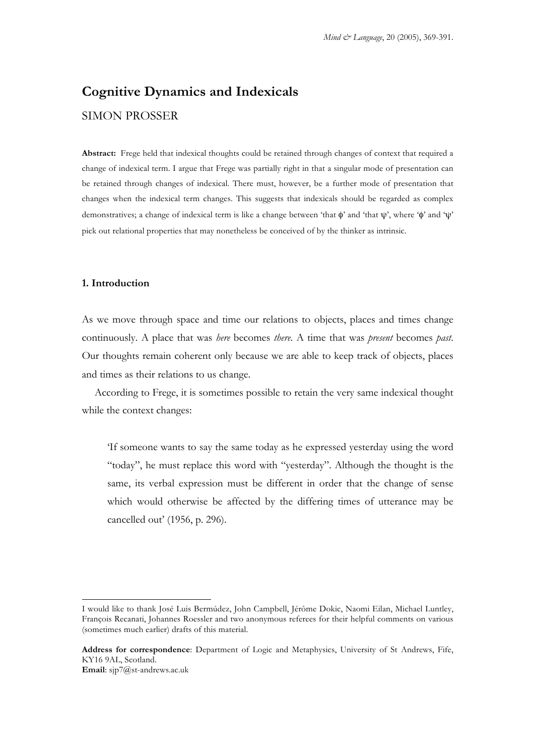# **Cognitive Dynamics and Indexicals** SIMON PROSSER

**Abstract:** Frege held that indexical thoughts could be retained through changes of context that required a change of indexical term. I argue that Frege was partially right in that a singular mode of presentation can be retained through changes of indexical. There must, however, be a further mode of presentation that changes when the indexical term changes. This suggests that indexicals should be regarded as complex demonstratives; a change of indexical term is like a change between 'that  $\phi$ ' and 'that  $\psi'$ , where ' $\phi'$ ' and ' $\psi'$ ' pick out relational properties that may nonetheless be conceived of by the thinker as intrinsic.

# **1. Introduction**

 $\overline{a}$ 

As we move through space and time our relations to objects, places and times change continuously. A place that was *here* becomes *there*. A time that was *present* becomes *past*. Our thoughts remain coherent only because we are able to keep track of objects, places and times as their relations to us change.

According to Frege, it is sometimes possible to retain the very same indexical thought while the context changes:

'If someone wants to say the same today as he expressed yesterday using the word "today", he must replace this word with "yesterday". Although the thought is the same, its verbal expression must be different in order that the change of sense which would otherwise be affected by the differing times of utterance may be cancelled out' (1956, p. 296).

I would like to thank José Luis Bermúdez, John Campbell, Jérôme Dokic, Naomi Eilan, Michael Luntley, François Recanati, Johannes Roessler and two anonymous referees for their helpful comments on various (sometimes much earlier) drafts of this material.

**Address for correspondence**: Department of Logic and Metaphysics, University of St Andrews, Fife, KY16 9AL, Scotland. **Email**: sjp7@st-andrews.ac.uk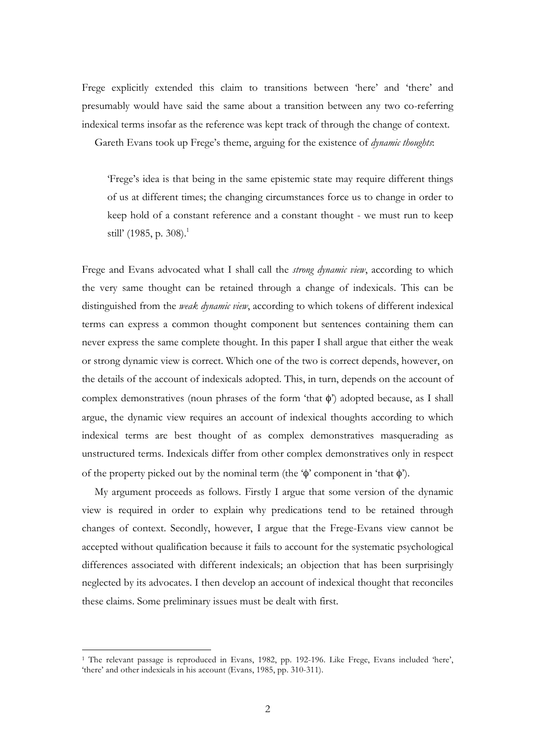Frege explicitly extended this claim to transitions between 'here' and 'there' and presumably would have said the same about a transition between any two co-referring indexical terms insofar as the reference was kept track of through the change of context.

Gareth Evans took up Frege's theme, arguing for the existence of *dynamic thoughts*:

'Frege's idea is that being in the same epistemic state may require different things of us at different times; the changing circumstances force us to change in order to keep hold of a constant reference and a constant thought - we must run to keep still' (1985, p. 308).<sup>1</sup>

Frege and Evans advocated what I shall call the *strong dynamic view*, according to which the very same thought can be retained through a change of indexicals. This can be distinguished from the *weak dynamic view*, according to which tokens of different indexical terms can express a common thought component but sentences containing them can never express the same complete thought. In this paper I shall argue that either the weak or strong dynamic view is correct. Which one of the two is correct depends, however, on the details of the account of indexicals adopted. This, in turn, depends on the account of complex demonstratives (noun phrases of the form 'that  $\phi$ ') adopted because, as I shall argue, the dynamic view requires an account of indexical thoughts according to which indexical terms are best thought of as complex demonstratives masquerading as unstructured terms. Indexicals differ from other complex demonstratives only in respect of the property picked out by the nominal term (the ' $\phi$ ' component in 'that  $\phi$ ').

My argument proceeds as follows. Firstly I argue that some version of the dynamic view is required in order to explain why predications tend to be retained through changes of context. Secondly, however, I argue that the Frege-Evans view cannot be accepted without qualification because it fails to account for the systematic psychological differences associated with different indexicals; an objection that has been surprisingly neglected by its advocates. I then develop an account of indexical thought that reconciles these claims. Some preliminary issues must be dealt with first.

<sup>1</sup> The relevant passage is reproduced in Evans, 1982, pp. 192-196. Like Frege, Evans included 'here', 'there' and other indexicals in his account (Evans, 1985, pp. 310-311).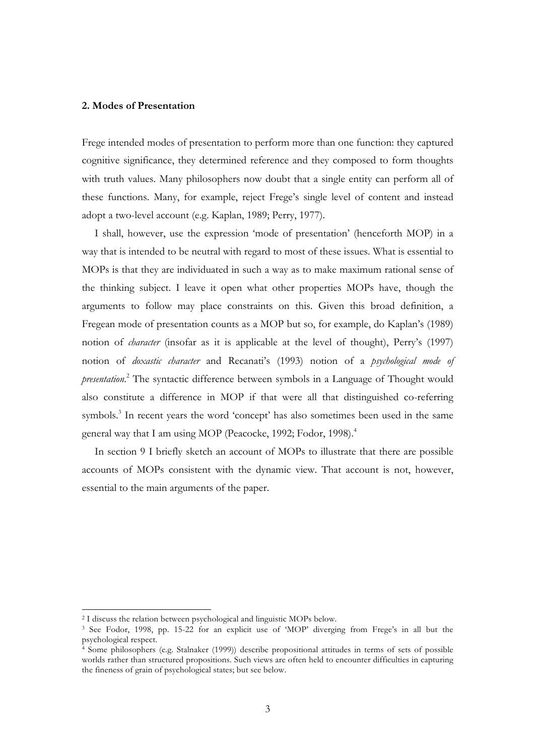# **2. Modes of Presentation**

Frege intended modes of presentation to perform more than one function: they captured cognitive significance, they determined reference and they composed to form thoughts with truth values. Many philosophers now doubt that a single entity can perform all of these functions. Many, for example, reject Frege's single level of content and instead adopt a two-level account (e.g. Kaplan, 1989; Perry, 1977).

I shall, however, use the expression 'mode of presentation' (henceforth MOP) in a way that is intended to be neutral with regard to most of these issues. What is essential to MOPs is that they are individuated in such a way as to make maximum rational sense of the thinking subject. I leave it open what other properties MOPs have, though the arguments to follow may place constraints on this. Given this broad definition, a Fregean mode of presentation counts as a MOP but so, for example, do Kaplan's (1989) notion of *character* (insofar as it is applicable at the level of thought), Perry's (1997) notion of *doxastic character* and Recanati's (1993) notion of a *psychological mode of presentation*. <sup>2</sup> The syntactic difference between symbols in a Language of Thought would also constitute a difference in MOP if that were all that distinguished co-referring symbols.<sup>3</sup> In recent years the word 'concept' has also sometimes been used in the same general way that I am using MOP (Peacocke, 1992; Fodor, 1998).<sup>4</sup>

In section 9 I briefly sketch an account of MOPs to illustrate that there are possible accounts of MOPs consistent with the dynamic view. That account is not, however, essential to the main arguments of the paper.

<sup>2</sup> I discuss the relation between psychological and linguistic MOPs below.

<sup>3</sup> See Fodor, 1998, pp. 15-22 for an explicit use of 'MOP' diverging from Frege's in all but the psychological respect.

<sup>4</sup> Some philosophers (e.g. Stalnaker (1999)) describe propositional attitudes in terms of sets of possible worlds rather than structured propositions. Such views are often held to encounter difficulties in capturing the fineness of grain of psychological states; but see below.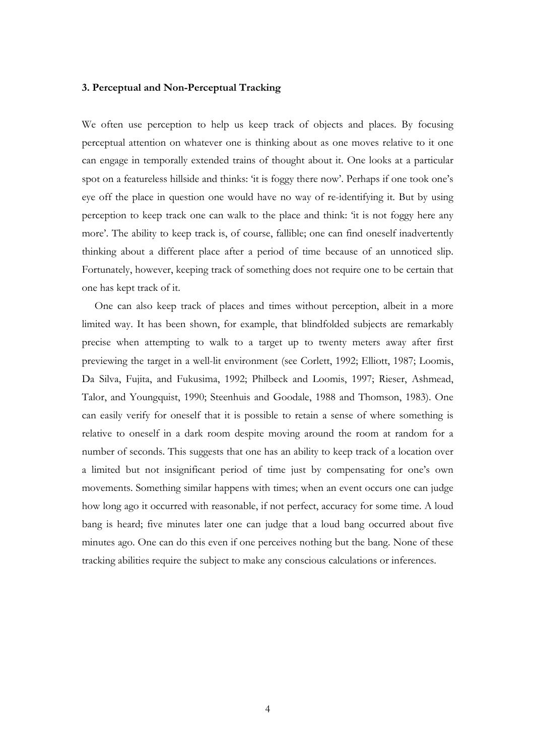#### **3. Perceptual and Non-Perceptual Tracking**

We often use perception to help us keep track of objects and places. By focusing perceptual attention on whatever one is thinking about as one moves relative to it one can engage in temporally extended trains of thought about it. One looks at a particular spot on a featureless hillside and thinks: 'it is foggy there now'. Perhaps if one took one's eye off the place in question one would have no way of re-identifying it. But by using perception to keep track one can walk to the place and think: 'it is not foggy here any more'. The ability to keep track is, of course, fallible; one can find oneself inadvertently thinking about a different place after a period of time because of an unnoticed slip. Fortunately, however, keeping track of something does not require one to be certain that one has kept track of it.

One can also keep track of places and times without perception, albeit in a more limited way. It has been shown, for example, that blindfolded subjects are remarkably precise when attempting to walk to a target up to twenty meters away after first previewing the target in a well-lit environment (see Corlett, 1992; Elliott, 1987; Loomis, Da Silva, Fujita, and Fukusima, 1992; Philbeck and Loomis, 1997; Rieser, Ashmead, Talor, and Youngquist, 1990; Steenhuis and Goodale, 1988 and Thomson, 1983). One can easily verify for oneself that it is possible to retain a sense of where something is relative to oneself in a dark room despite moving around the room at random for a number of seconds. This suggests that one has an ability to keep track of a location over a limited but not insignificant period of time just by compensating for one's own movements. Something similar happens with times; when an event occurs one can judge how long ago it occurred with reasonable, if not perfect, accuracy for some time. A loud bang is heard; five minutes later one can judge that a loud bang occurred about five minutes ago. One can do this even if one perceives nothing but the bang. None of these tracking abilities require the subject to make any conscious calculations or inferences.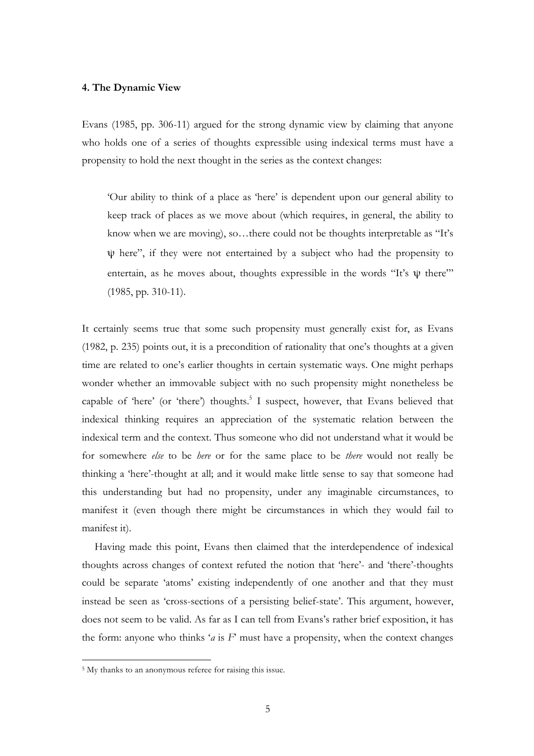#### **4. The Dynamic View**

Evans (1985, pp. 306-11) argued for the strong dynamic view by claiming that anyone who holds one of a series of thoughts expressible using indexical terms must have a propensity to hold the next thought in the series as the context changes:

'Our ability to think of a place as 'here' is dependent upon our general ability to keep track of places as we move about (which requires, in general, the ability to know when we are moving), so…there could not be thoughts interpretable as "It's ψ here", if they were not entertained by a subject who had the propensity to entertain, as he moves about, thoughts expressible in the words "It's  $\psi$  there" (1985, pp. 310-11).

It certainly seems true that some such propensity must generally exist for, as Evans (1982, p. 235) points out, it is a precondition of rationality that one's thoughts at a given time are related to one's earlier thoughts in certain systematic ways. One might perhaps wonder whether an immovable subject with no such propensity might nonetheless be capable of 'here' (or 'there') thoughts.<sup>5</sup> I suspect, however, that Evans believed that indexical thinking requires an appreciation of the systematic relation between the indexical term and the context. Thus someone who did not understand what it would be for somewhere *else* to be *here* or for the same place to be *there* would not really be thinking a 'here'-thought at all; and it would make little sense to say that someone had this understanding but had no propensity, under any imaginable circumstances, to manifest it (even though there might be circumstances in which they would fail to manifest it).

Having made this point, Evans then claimed that the interdependence of indexical thoughts across changes of context refuted the notion that 'here'- and 'there'-thoughts could be separate 'atoms' existing independently of one another and that they must instead be seen as 'cross-sections of a persisting belief-state'. This argument, however, does not seem to be valid. As far as I can tell from Evans's rather brief exposition, it has the form: anyone who thinks  $a$  is  $F$  must have a propensity, when the context changes

<sup>5</sup> My thanks to an anonymous referee for raising this issue.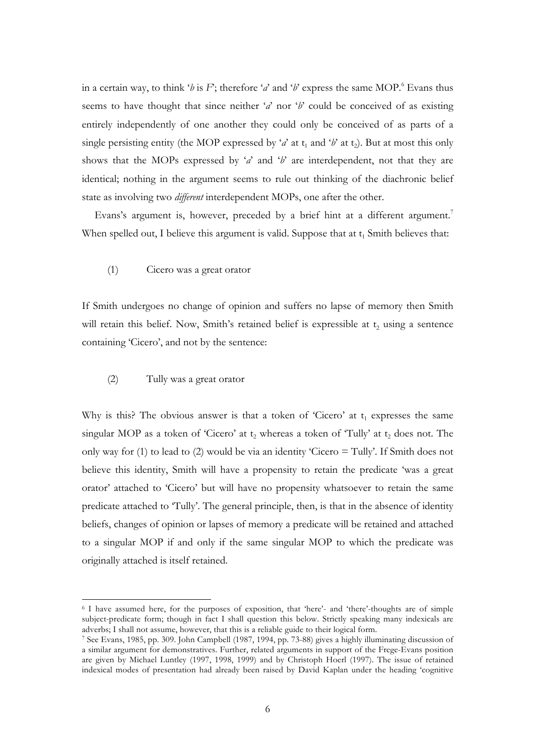in a certain way, to think '*b* is *F*'; therefore '*a*' and '*b*' express the same MOP.<sup>6</sup> Evans thus seems to have thought that since neither '*a*' nor '*b*' could be conceived of as existing entirely independently of one another they could only be conceived of as parts of a single persisting entity (the MOP expressed by '*a*' at t<sub>1</sub> and '*b*' at t<sub>2</sub>). But at most this only shows that the MOPs expressed by '*a*' and '*b*' are interdependent, not that they are identical; nothing in the argument seems to rule out thinking of the diachronic belief state as involving two *different* interdependent MOPs, one after the other.

Evans's argument is, however, preceded by a brief hint at a different argument.<sup>7</sup> When spelled out, I believe this argument is valid. Suppose that at  $t_1$  Smith believes that:

## (1) Cicero was a great orator

If Smith undergoes no change of opinion and suffers no lapse of memory then Smith will retain this belief. Now, Smith's retained belief is expressible at t<sub>2</sub> using a sentence containing 'Cicero', and not by the sentence:

# (2) Tully was a great orator

 $\overline{a}$ 

Why is this? The obvious answer is that a token of 'Cicero' at  $t_1$  expresses the same singular MOP as a token of 'Cicero' at  $t_2$  whereas a token of 'Tully' at  $t_2$  does not. The only way for (1) to lead to (2) would be via an identity 'Cicero = Tully'. If Smith does not believe this identity, Smith will have a propensity to retain the predicate 'was a great orator' attached to 'Cicero' but will have no propensity whatsoever to retain the same predicate attached to 'Tully'. The general principle, then, is that in the absence of identity beliefs, changes of opinion or lapses of memory a predicate will be retained and attached to a singular MOP if and only if the same singular MOP to which the predicate was originally attached is itself retained.

<sup>6</sup> I have assumed here, for the purposes of exposition, that 'here'- and 'there'-thoughts are of simple subject-predicate form; though in fact I shall question this below. Strictly speaking many indexicals are adverbs; I shall not assume, however, that this is a reliable guide to their logical form.

<sup>7</sup> See Evans, 1985, pp. 309. John Campbell (1987, 1994, pp. 73-88) gives a highly illuminating discussion of a similar argument for demonstratives. Further, related arguments in support of the Frege-Evans position are given by Michael Luntley (1997, 1998, 1999) and by Christoph Hoerl (1997). The issue of retained indexical modes of presentation had already been raised by David Kaplan under the heading 'cognitive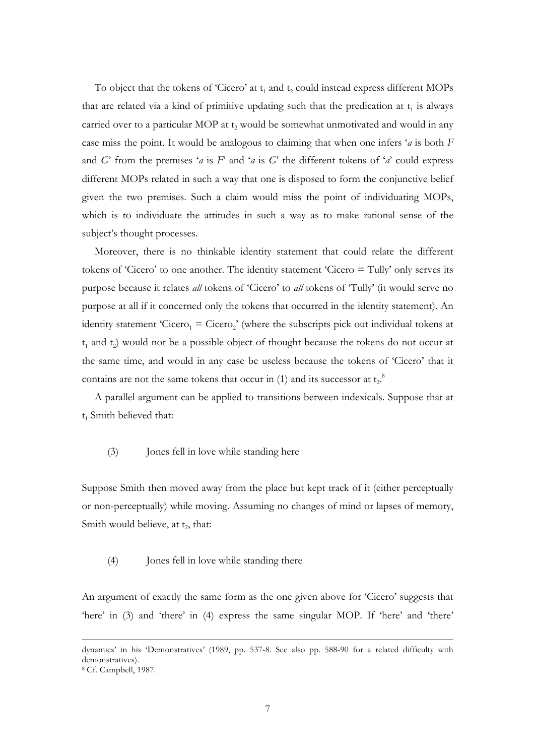To object that the tokens of 'Cicero' at  $t_1$  and  $t_2$  could instead express different MOPs that are related via a kind of primitive updating such that the predication at  $t_1$  is always carried over to a particular MOP at t<sub>2</sub> would be somewhat unmotivated and would in any case miss the point. It would be analogous to claiming that when one infers '*a* is both *F* and *G* from the premises '*a* is *F* and '*a* is *G* the different tokens of '*a*' could express different MOPs related in such a way that one is disposed to form the conjunctive belief given the two premises. Such a claim would miss the point of individuating MOPs, which is to individuate the attitudes in such a way as to make rational sense of the subject's thought processes.

Moreover, there is no thinkable identity statement that could relate the different tokens of 'Cicero' to one another. The identity statement 'Cicero = Tully' only serves its purpose because it relates *all* tokens of 'Cicero' to *all* tokens of 'Tully' (it would serve no purpose at all if it concerned only the tokens that occurred in the identity statement). An identity statement 'Cicero<sub>1</sub> = Cicero<sub>2</sub>' (where the subscripts pick out individual tokens at  $t_1$  and  $t_2$ ) would not be a possible object of thought because the tokens do not occur at the same time, and would in any case be useless because the tokens of 'Cicero' that it contains are not the same tokens that occur in (1) and its successor at  $t_2$ .<sup>8</sup>

A parallel argument can be applied to transitions between indexicals. Suppose that at  $t_1$  Smith believed that:

# (3) Jones fell in love while standing here

Suppose Smith then moved away from the place but kept track of it (either perceptually or non-perceptually) while moving. Assuming no changes of mind or lapses of memory, Smith would believe, at  $t_2$ , that:

#### (4) Jones fell in love while standing there

An argument of exactly the same form as the one given above for 'Cicero' suggests that 'here' in (3) and 'there' in (4) express the same singular MOP. If 'here' and 'there'

dynamics' in his 'Demonstratives' (1989, pp. 537-8. See also pp. 588-90 for a related difficulty with demonstratives).

<sup>8</sup> Cf. Campbell, 1987.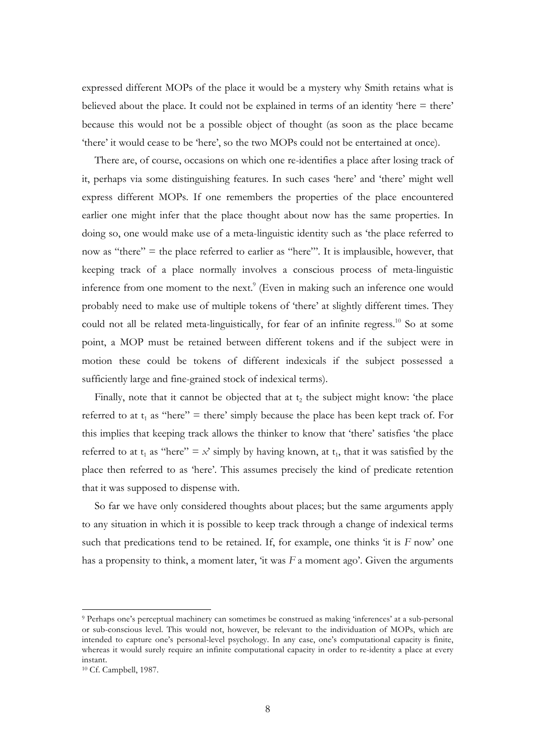expressed different MOPs of the place it would be a mystery why Smith retains what is believed about the place. It could not be explained in terms of an identity 'here = there' because this would not be a possible object of thought (as soon as the place became 'there' it would cease to be 'here', so the two MOPs could not be entertained at once).

There are, of course, occasions on which one re-identifies a place after losing track of it, perhaps via some distinguishing features. In such cases 'here' and 'there' might well express different MOPs. If one remembers the properties of the place encountered earlier one might infer that the place thought about now has the same properties. In doing so, one would make use of a meta-linguistic identity such as 'the place referred to now as "there" = the place referred to earlier as "here"'. It is implausible, however, that keeping track of a place normally involves a conscious process of meta-linguistic inference from one moment to the next.<sup>9</sup> (Even in making such an inference one would probably need to make use of multiple tokens of 'there' at slightly different times. They could not all be related meta-linguistically, for fear of an infinite regress.<sup>10</sup> So at some point, a MOP must be retained between different tokens and if the subject were in motion these could be tokens of different indexicals if the subject possessed a sufficiently large and fine-grained stock of indexical terms).

Finally, note that it cannot be objected that at  $t_2$  the subject might know: 'the place referred to at  $t_1$  as "here" = there' simply because the place has been kept track of. For this implies that keeping track allows the thinker to know that 'there' satisfies 'the place referred to at t<sub>1</sub> as "here" =  $x$ ' simply by having known, at t<sub>1</sub>, that it was satisfied by the place then referred to as 'here'. This assumes precisely the kind of predicate retention that it was supposed to dispense with.

So far we have only considered thoughts about places; but the same arguments apply to any situation in which it is possible to keep track through a change of indexical terms such that predications tend to be retained. If, for example, one thinks 'it is *F* now' one has a propensity to think, a moment later, 'it was *F* a moment ago'. Given the arguments

<sup>&</sup>lt;sup>9</sup> Perhaps one's perceptual machinery can sometimes be construed as making 'inferences' at a sub-personal or sub-conscious level. This would not, however, be relevant to the individuation of MOPs, which are intended to capture one's personal-level psychology. In any case, one's computational capacity is finite, whereas it would surely require an infinite computational capacity in order to re-identity a place at every instant.

<sup>10</sup> Cf. Campbell, 1987.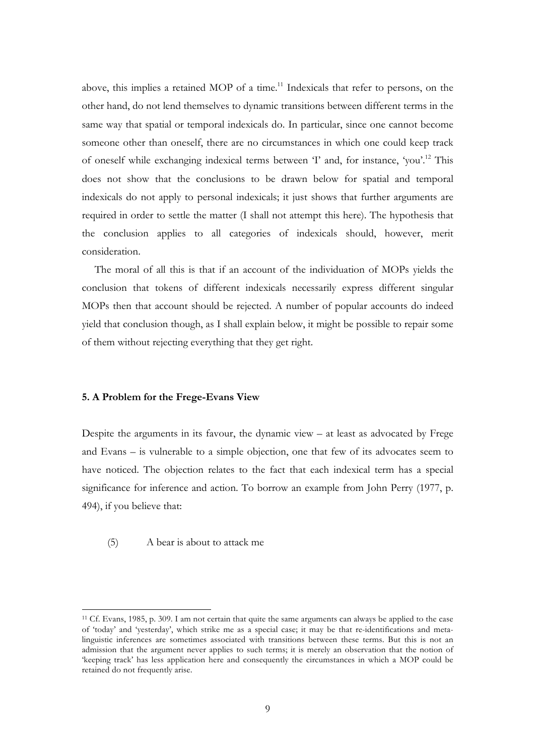above, this implies a retained MOP of a time.<sup>11</sup> Indexicals that refer to persons, on the other hand, do not lend themselves to dynamic transitions between different terms in the same way that spatial or temporal indexicals do. In particular, since one cannot become someone other than oneself, there are no circumstances in which one could keep track of oneself while exchanging indexical terms between 'I' and, for instance, 'you'.12 This does not show that the conclusions to be drawn below for spatial and temporal indexicals do not apply to personal indexicals; it just shows that further arguments are required in order to settle the matter (I shall not attempt this here). The hypothesis that the conclusion applies to all categories of indexicals should, however, merit consideration.

The moral of all this is that if an account of the individuation of MOPs yields the conclusion that tokens of different indexicals necessarily express different singular MOPs then that account should be rejected. A number of popular accounts do indeed yield that conclusion though, as I shall explain below, it might be possible to repair some of them without rejecting everything that they get right.

#### **5. A Problem for the Frege-Evans View**

Despite the arguments in its favour, the dynamic view – at least as advocated by Frege and Evans – is vulnerable to a simple objection, one that few of its advocates seem to have noticed. The objection relates to the fact that each indexical term has a special significance for inference and action. To borrow an example from John Perry (1977, p. 494), if you believe that:

(5) A bear is about to attack me

<sup>11</sup> Cf. Evans, 1985, p. 309. I am not certain that quite the same arguments can always be applied to the case of 'today' and 'yesterday', which strike me as a special case; it may be that re-identifications and metalinguistic inferences are sometimes associated with transitions between these terms. But this is not an admission that the argument never applies to such terms; it is merely an observation that the notion of 'keeping track' has less application here and consequently the circumstances in which a MOP could be retained do not frequently arise.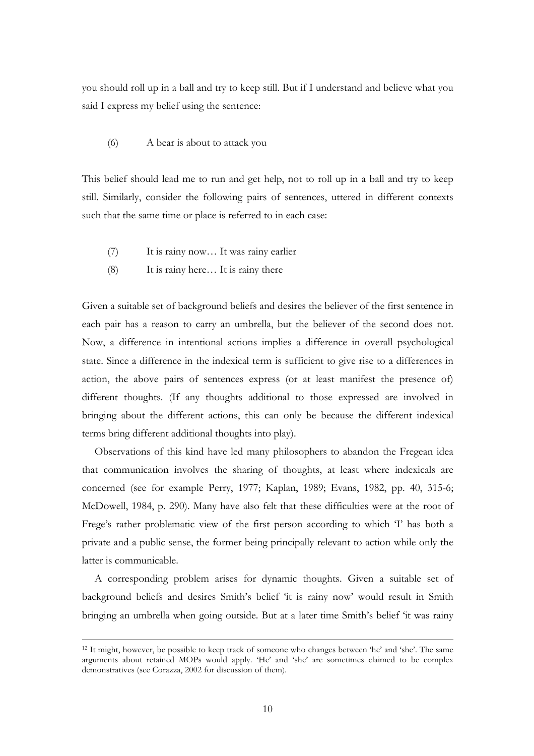you should roll up in a ball and try to keep still. But if I understand and believe what you said I express my belief using the sentence:

(6) A bear is about to attack you

This belief should lead me to run and get help, not to roll up in a ball and try to keep still. Similarly, consider the following pairs of sentences, uttered in different contexts such that the same time or place is referred to in each case:

- (7) It is rainy now… It was rainy earlier
- (8) It is rainy here… It is rainy there

 $\overline{a}$ 

Given a suitable set of background beliefs and desires the believer of the first sentence in each pair has a reason to carry an umbrella, but the believer of the second does not. Now, a difference in intentional actions implies a difference in overall psychological state. Since a difference in the indexical term is sufficient to give rise to a differences in action, the above pairs of sentences express (or at least manifest the presence of) different thoughts. (If any thoughts additional to those expressed are involved in bringing about the different actions, this can only be because the different indexical terms bring different additional thoughts into play).

Observations of this kind have led many philosophers to abandon the Fregean idea that communication involves the sharing of thoughts, at least where indexicals are concerned (see for example Perry, 1977; Kaplan, 1989; Evans, 1982, pp. 40, 315-6; McDowell, 1984, p. 290). Many have also felt that these difficulties were at the root of Frege's rather problematic view of the first person according to which 'I' has both a private and a public sense, the former being principally relevant to action while only the latter is communicable.

A corresponding problem arises for dynamic thoughts. Given a suitable set of background beliefs and desires Smith's belief 'it is rainy now' would result in Smith bringing an umbrella when going outside. But at a later time Smith's belief 'it was rainy

<sup>12</sup> It might, however, be possible to keep track of someone who changes between 'he' and 'she'. The same arguments about retained MOPs would apply. 'He' and 'she' are sometimes claimed to be complex demonstratives (see Corazza, 2002 for discussion of them).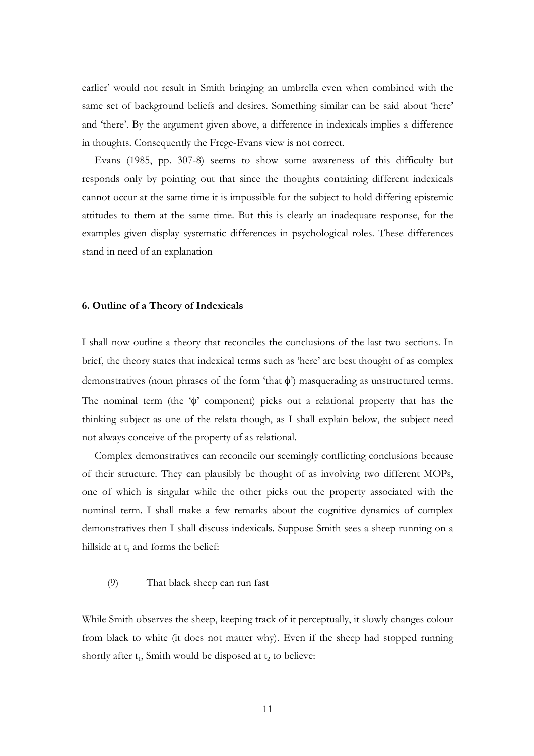earlier' would not result in Smith bringing an umbrella even when combined with the same set of background beliefs and desires. Something similar can be said about 'here' and 'there'. By the argument given above, a difference in indexicals implies a difference in thoughts. Consequently the Frege-Evans view is not correct.

Evans (1985, pp. 307-8) seems to show some awareness of this difficulty but responds only by pointing out that since the thoughts containing different indexicals cannot occur at the same time it is impossible for the subject to hold differing epistemic attitudes to them at the same time. But this is clearly an inadequate response, for the examples given display systematic differences in psychological roles. These differences stand in need of an explanation

#### **6. Outline of a Theory of Indexicals**

I shall now outline a theory that reconciles the conclusions of the last two sections. In brief, the theory states that indexical terms such as 'here' are best thought of as complex demonstratives (noun phrases of the form 'that φ') masquerading as unstructured terms. The nominal term (the 'φ' component) picks out a relational property that has the thinking subject as one of the relata though, as I shall explain below, the subject need not always conceive of the property of as relational.

Complex demonstratives can reconcile our seemingly conflicting conclusions because of their structure. They can plausibly be thought of as involving two different MOPs, one of which is singular while the other picks out the property associated with the nominal term. I shall make a few remarks about the cognitive dynamics of complex demonstratives then I shall discuss indexicals. Suppose Smith sees a sheep running on a hillside at  $t_1$  and forms the belief:

(9) That black sheep can run fast

While Smith observes the sheep, keeping track of it perceptually, it slowly changes colour from black to white (it does not matter why). Even if the sheep had stopped running shortly after  $t_1$ , Smith would be disposed at  $t_2$  to believe: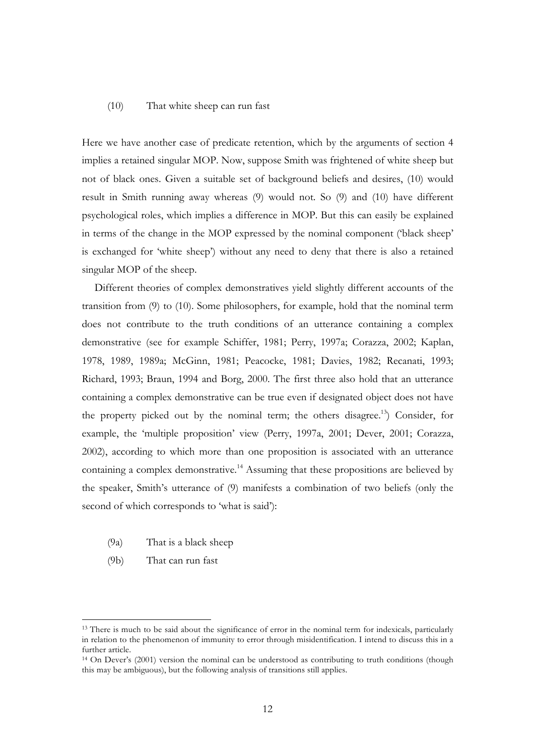#### (10) That white sheep can run fast

Here we have another case of predicate retention, which by the arguments of section 4 implies a retained singular MOP. Now, suppose Smith was frightened of white sheep but not of black ones. Given a suitable set of background beliefs and desires, (10) would result in Smith running away whereas (9) would not. So (9) and (10) have different psychological roles, which implies a difference in MOP. But this can easily be explained in terms of the change in the MOP expressed by the nominal component ('black sheep' is exchanged for 'white sheep') without any need to deny that there is also a retained singular MOP of the sheep.

Different theories of complex demonstratives yield slightly different accounts of the transition from (9) to (10). Some philosophers, for example, hold that the nominal term does not contribute to the truth conditions of an utterance containing a complex demonstrative (see for example Schiffer, 1981; Perry, 1997a; Corazza, 2002; Kaplan, 1978, 1989, 1989a; McGinn, 1981; Peacocke, 1981; Davies, 1982; Recanati, 1993; Richard, 1993; Braun, 1994 and Borg, 2000. The first three also hold that an utterance containing a complex demonstrative can be true even if designated object does not have the property picked out by the nominal term; the others disagree.<sup>13</sup>) Consider, for example, the 'multiple proposition' view (Perry, 1997a, 2001; Dever, 2001; Corazza, 2002), according to which more than one proposition is associated with an utterance containing a complex demonstrative.<sup>14</sup> Assuming that these propositions are believed by the speaker, Smith's utterance of (9) manifests a combination of two beliefs (only the second of which corresponds to 'what is said'):

- (9a) That is a black sheep
- (9b) That can run fast

<sup>&</sup>lt;sup>13</sup> There is much to be said about the significance of error in the nominal term for indexicals, particularly in relation to the phenomenon of immunity to error through misidentification. I intend to discuss this in a further article.

<sup>14</sup> On Dever's (2001) version the nominal can be understood as contributing to truth conditions (though this may be ambiguous), but the following analysis of transitions still applies.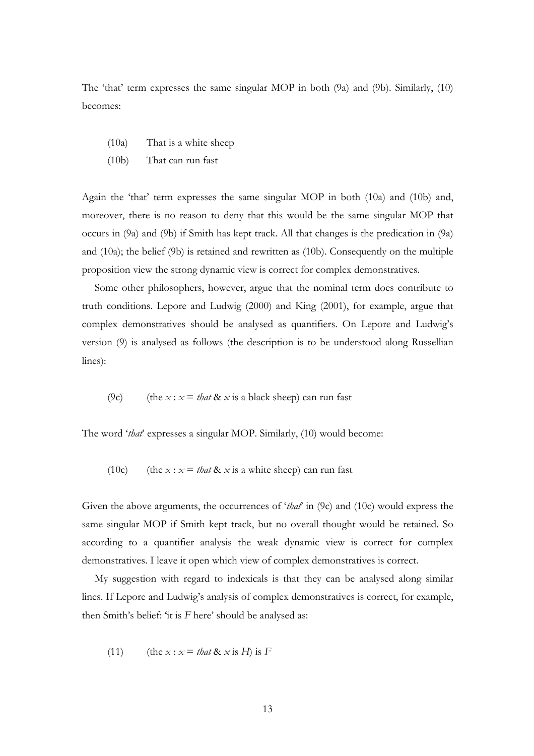The 'that' term expresses the same singular MOP in both (9a) and (9b). Similarly, (10) becomes:

- (10a) That is a white sheep
- (10b) That can run fast

Again the 'that' term expresses the same singular MOP in both (10a) and (10b) and, moreover, there is no reason to deny that this would be the same singular MOP that occurs in (9a) and (9b) if Smith has kept track. All that changes is the predication in (9a) and (10a); the belief (9b) is retained and rewritten as (10b). Consequently on the multiple proposition view the strong dynamic view is correct for complex demonstratives.

Some other philosophers, however, argue that the nominal term does contribute to truth conditions. Lepore and Ludwig (2000) and King (2001), for example, argue that complex demonstratives should be analysed as quantifiers. On Lepore and Ludwig's version (9) is analysed as follows (the description is to be understood along Russellian lines):

(9c) (the  $x : x =$  *that* & *x* is a black sheep) can run fast

The word '*that*' expresses a singular MOP. Similarly, (10) would become:

(10c) (the  $x : x =$  *that* & *x* is a white sheep) can run fast

Given the above arguments, the occurrences of '*that*' in (9c) and (10c) would express the same singular MOP if Smith kept track, but no overall thought would be retained. So according to a quantifier analysis the weak dynamic view is correct for complex demonstratives. I leave it open which view of complex demonstratives is correct.

My suggestion with regard to indexicals is that they can be analysed along similar lines. If Lepore and Ludwig's analysis of complex demonstratives is correct, for example, then Smith's belief: 'it is *F* here' should be analysed as:

(11) (the 
$$
x : x =
$$
 that &  $x$  is H) is F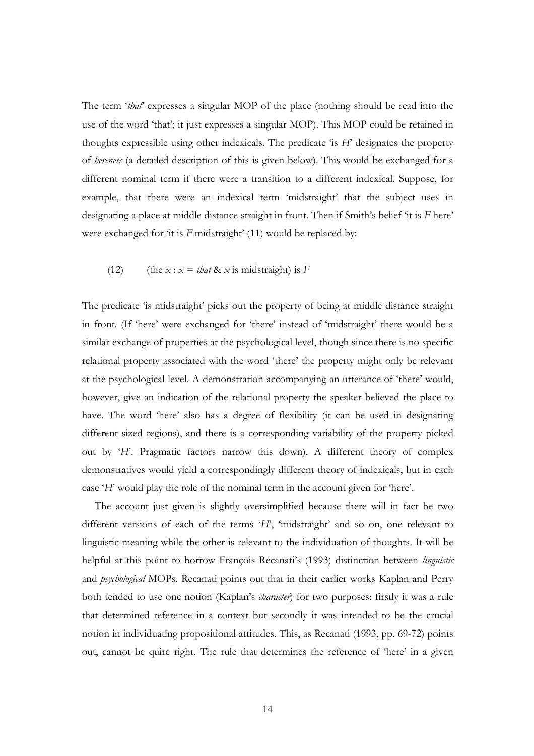The term '*that*' expresses a singular MOP of the place (nothing should be read into the use of the word 'that'; it just expresses a singular MOP). This MOP could be retained in thoughts expressible using other indexicals. The predicate 'is *H*' designates the property of *hereness* (a detailed description of this is given below). This would be exchanged for a different nominal term if there were a transition to a different indexical. Suppose, for example, that there were an indexical term 'midstraight' that the subject uses in designating a place at middle distance straight in front. Then if Smith's belief 'it is *F* here' were exchanged for 'it is *F* midstraight' (11) would be replaced by:

(12) (the 
$$
x : x = \text{that } \& x \text{ is midstraight} \text{) is } F
$$

The predicate 'is midstraight' picks out the property of being at middle distance straight in front. (If 'here' were exchanged for 'there' instead of 'midstraight' there would be a similar exchange of properties at the psychological level, though since there is no specific relational property associated with the word 'there' the property might only be relevant at the psychological level. A demonstration accompanying an utterance of 'there' would, however, give an indication of the relational property the speaker believed the place to have. The word 'here' also has a degree of flexibility (it can be used in designating different sized regions), and there is a corresponding variability of the property picked out by '*H*'. Pragmatic factors narrow this down). A different theory of complex demonstratives would yield a correspondingly different theory of indexicals, but in each case '*H*' would play the role of the nominal term in the account given for 'here'.

The account just given is slightly oversimplified because there will in fact be two different versions of each of the terms '*H*', 'midstraight' and so on, one relevant to linguistic meaning while the other is relevant to the individuation of thoughts. It will be helpful at this point to borrow François Recanati's (1993) distinction between *linguistic* and *psychological* MOPs. Recanati points out that in their earlier works Kaplan and Perry both tended to use one notion (Kaplan's *character*) for two purposes: firstly it was a rule that determined reference in a context but secondly it was intended to be the crucial notion in individuating propositional attitudes. This, as Recanati (1993, pp. 69-72) points out, cannot be quire right. The rule that determines the reference of 'here' in a given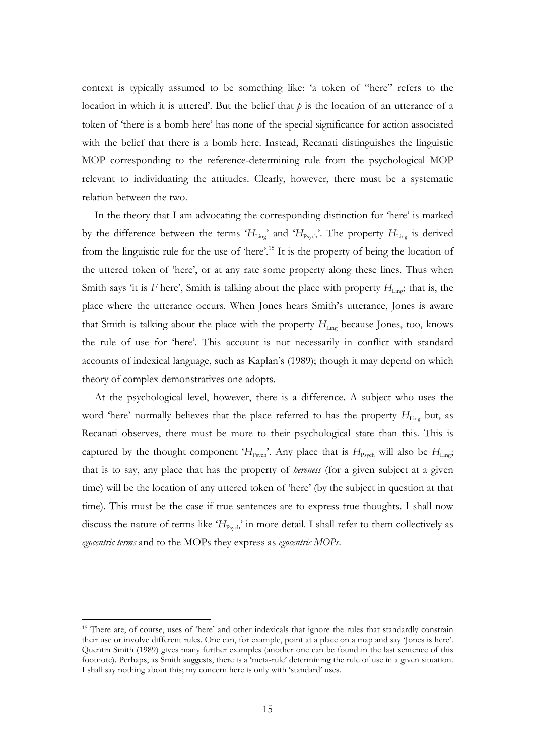context is typically assumed to be something like: 'a token of "here" refers to the location in which it is uttered'. But the belief that *p* is the location of an utterance of a token of 'there is a bomb here' has none of the special significance for action associated with the belief that there is a bomb here. Instead, Recanati distinguishes the linguistic MOP corresponding to the reference-determining rule from the psychological MOP relevant to individuating the attitudes. Clearly, however, there must be a systematic relation between the two.

In the theory that I am advocating the corresponding distinction for 'here' is marked by the difference between the terms ' $H_{\text{Ling}}$ ' and ' $H_{\text{Psych}}$ '. The property  $H_{\text{Ling}}$  is derived from the linguistic rule for the use of 'here'.<sup>15</sup> It is the property of being the location of the uttered token of 'here', or at any rate some property along these lines. Thus when Smith says 'it is  $F$  here', Smith is talking about the place with property  $H_{\text{Ling}}$ ; that is, the place where the utterance occurs. When Jones hears Smith's utterance, Jones is aware that Smith is talking about the place with the property  $H_{\text{Ling}}$  because Jones, too, knows the rule of use for 'here'. This account is not necessarily in conflict with standard accounts of indexical language, such as Kaplan's (1989); though it may depend on which theory of complex demonstratives one adopts.

At the psychological level, however, there is a difference. A subject who uses the word 'here' normally believes that the place referred to has the property *H*<sub>Ling</sub> but, as Recanati observes, there must be more to their psychological state than this. This is captured by the thought component ' $H_{\text{Psych}}$ '. Any place that is  $H_{\text{Psych}}$  will also be  $H_{\text{Ling}}$ ; that is to say, any place that has the property of *hereness* (for a given subject at a given time) will be the location of any uttered token of 'here' (by the subject in question at that time). This must be the case if true sentences are to express true thoughts. I shall now discuss the nature of terms like 'H<sub>Psych</sub>' in more detail. I shall refer to them collectively as *egocentric terms* and to the MOPs they express as *egocentric MOPs*.

<sup>15</sup> There are, of course, uses of 'here' and other indexicals that ignore the rules that standardly constrain their use or involve different rules. One can, for example, point at a place on a map and say 'Jones is here'. Quentin Smith (1989) gives many further examples (another one can be found in the last sentence of this footnote). Perhaps, as Smith suggests, there is a 'meta-rule' determining the rule of use in a given situation. I shall say nothing about this; my concern here is only with 'standard' uses.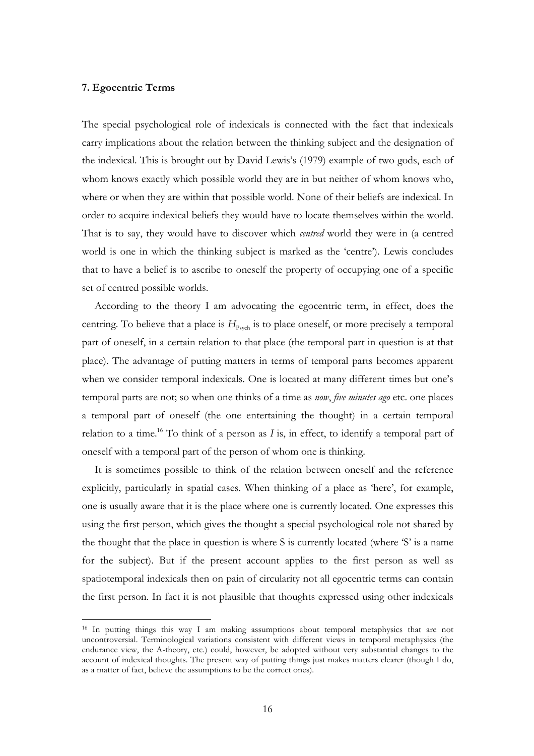## **7. Egocentric Terms**

 $\overline{a}$ 

The special psychological role of indexicals is connected with the fact that indexicals carry implications about the relation between the thinking subject and the designation of the indexical. This is brought out by David Lewis's (1979) example of two gods, each of whom knows exactly which possible world they are in but neither of whom knows who, where or when they are within that possible world. None of their beliefs are indexical. In order to acquire indexical beliefs they would have to locate themselves within the world. That is to say, they would have to discover which *centred* world they were in (a centred world is one in which the thinking subject is marked as the 'centre'). Lewis concludes that to have a belief is to ascribe to oneself the property of occupying one of a specific set of centred possible worlds.

According to the theory I am advocating the egocentric term, in effect, does the centring. To believe that a place is  $H_{\text{Psych}}$  is to place oneself, or more precisely a temporal part of oneself, in a certain relation to that place (the temporal part in question is at that place). The advantage of putting matters in terms of temporal parts becomes apparent when we consider temporal indexicals. One is located at many different times but one's temporal parts are not; so when one thinks of a time as *now*, *five minutes ago* etc. one places a temporal part of oneself (the one entertaining the thought) in a certain temporal relation to a time.<sup>16</sup> To think of a person as  $I$  is, in effect, to identify a temporal part of oneself with a temporal part of the person of whom one is thinking.

It is sometimes possible to think of the relation between oneself and the reference explicitly, particularly in spatial cases. When thinking of a place as 'here', for example, one is usually aware that it is the place where one is currently located. One expresses this using the first person, which gives the thought a special psychological role not shared by the thought that the place in question is where S is currently located (where 'S' is a name for the subject). But if the present account applies to the first person as well as spatiotemporal indexicals then on pain of circularity not all egocentric terms can contain the first person. In fact it is not plausible that thoughts expressed using other indexicals

<sup>&</sup>lt;sup>16</sup> In putting things this way I am making assumptions about temporal metaphysics that are not uncontroversial. Terminological variations consistent with different views in temporal metaphysics (the endurance view, the A-theory, etc.) could, however, be adopted without very substantial changes to the account of indexical thoughts. The present way of putting things just makes matters clearer (though I do, as a matter of fact, believe the assumptions to be the correct ones).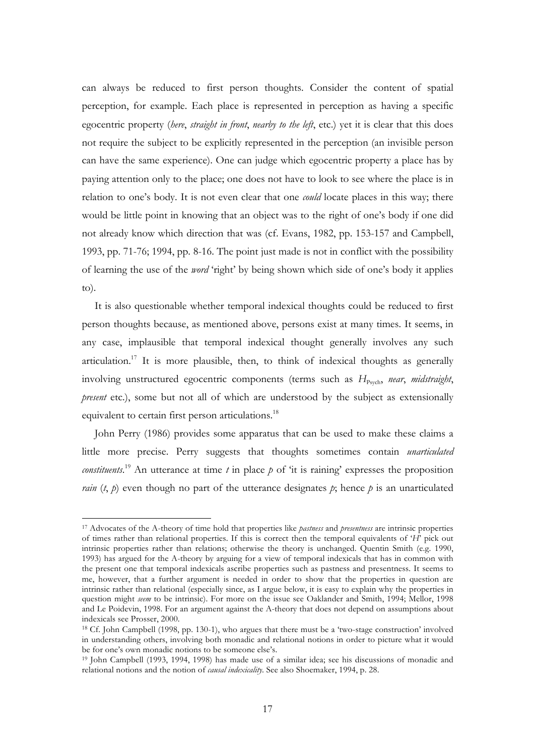can always be reduced to first person thoughts. Consider the content of spatial perception, for example. Each place is represented in perception as having a specific egocentric property (*here*, *straight in front*, *nearby to the left*, etc.) yet it is clear that this does not require the subject to be explicitly represented in the perception (an invisible person can have the same experience). One can judge which egocentric property a place has by paying attention only to the place; one does not have to look to see where the place is in relation to one's body. It is not even clear that one *could* locate places in this way; there would be little point in knowing that an object was to the right of one's body if one did not already know which direction that was (cf. Evans, 1982, pp. 153-157 and Campbell, 1993, pp. 71-76; 1994, pp. 8-16. The point just made is not in conflict with the possibility of learning the use of the *word* 'right' by being shown which side of one's body it applies to).

It is also questionable whether temporal indexical thoughts could be reduced to first person thoughts because, as mentioned above, persons exist at many times. It seems, in any case, implausible that temporal indexical thought generally involves any such articulation.<sup>17</sup> It is more plausible, then, to think of indexical thoughts as generally involving unstructured egocentric components (terms such as  $H_{P<sub>such</sub>$ , *near*, *midstraight*, *present* etc.), some but not all of which are understood by the subject as extensionally equivalent to certain first person articulations.<sup>18</sup>

John Perry (1986) provides some apparatus that can be used to make these claims a little more precise. Perry suggests that thoughts sometimes contain *unarticulated constituents*.<sup>19</sup> An utterance at time *t* in place  $p$  of 'it is raining' expresses the proposition *rain*  $(t, p)$  even though no part of the utterance designates  $p$ ; hence  $p$  is an unarticulated

<sup>17</sup> Advocates of the A-theory of time hold that properties like *pastness* and *presentness* are intrinsic properties of times rather than relational properties. If this is correct then the temporal equivalents of '*H*' pick out intrinsic properties rather than relations; otherwise the theory is unchanged. Quentin Smith (e.g. 1990, 1993) has argued for the A-theory by arguing for a view of temporal indexicals that has in common with the present one that temporal indexicals ascribe properties such as pastness and presentness. It seems to me, however, that a further argument is needed in order to show that the properties in question are intrinsic rather than relational (especially since, as I argue below, it is easy to explain why the properties in question might *seem* to be intrinsic). For more on the issue see Oaklander and Smith, 1994; Mellor, 1998 and Le Poidevin, 1998. For an argument against the A-theory that does not depend on assumptions about indexicals see Prosser, 2000.

<sup>18</sup> Cf. John Campbell (1998, pp. 130-1), who argues that there must be a 'two-stage construction' involved in understanding others, involving both monadic and relational notions in order to picture what it would be for one's own monadic notions to be someone else's.

<sup>19</sup> John Campbell (1993, 1994, 1998) has made use of a similar idea; see his discussions of monadic and relational notions and the notion of *causal indexicality*. See also Shoemaker, 1994, p. 28.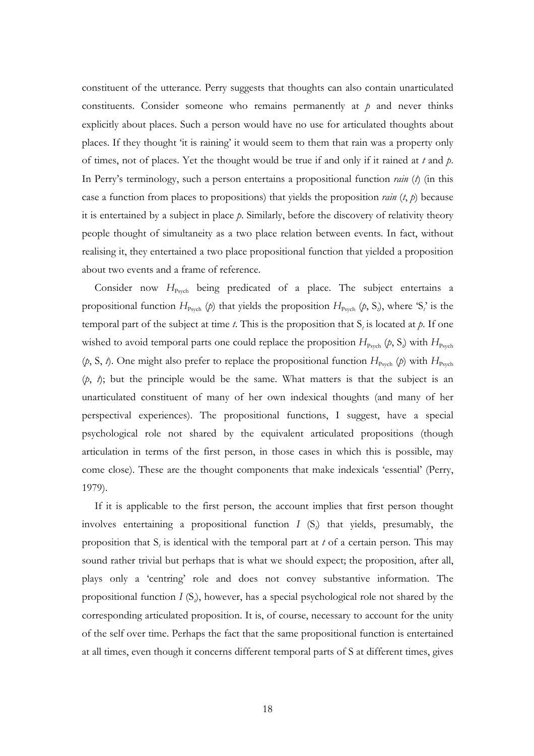constituent of the utterance. Perry suggests that thoughts can also contain unarticulated constituents. Consider someone who remains permanently at *p* and never thinks explicitly about places. Such a person would have no use for articulated thoughts about places. If they thought 'it is raining' it would seem to them that rain was a property only of times, not of places. Yet the thought would be true if and only if it rained at *t* and *p*. In Perry's terminology, such a person entertains a propositional function *rain* (*t*) (in this case a function from places to propositions) that yields the proposition *rain* (*t*, *p*) because it is entertained by a subject in place *p*. Similarly, before the discovery of relativity theory people thought of simultaneity as a two place relation between events. In fact, without realising it, they entertained a two place propositional function that yielded a proposition about two events and a frame of reference.

Consider now H<sub>Psych</sub> being predicated of a place. The subject entertains a propositional function  $H_{\text{Psych}}(\phi)$  that yields the proposition  $H_{\text{Psych}}(\phi, S_i)$ , where  $S_i$  is the temporal part of the subject at time  $t$ . This is the proposition that  $S_t$  is located at  $p$ . If one wished to avoid temporal parts one could replace the proposition  $H_{\text{Psych}}(p, S)$  with  $H_{\text{Psych}}$ (*p*, *S*, *t*). One might also prefer to replace the propositional function  $H_{P<sub>8ych</sub>}$  (*p*) with  $H_{P<sub>8ych</sub>}$ (*p*, *t*); but the principle would be the same. What matters is that the subject is an unarticulated constituent of many of her own indexical thoughts (and many of her perspectival experiences). The propositional functions, I suggest, have a special psychological role not shared by the equivalent articulated propositions (though articulation in terms of the first person, in those cases in which this is possible, may come close). These are the thought components that make indexicals 'essential' (Perry, 1979).

If it is applicable to the first person, the account implies that first person thought involves entertaining a propositional function  $I(S)$  that yields, presumably, the proposition that  $S_t$  is identical with the temporal part at  $t$  of a certain person. This may sound rather trivial but perhaps that is what we should expect; the proposition, after all, plays only a 'centring' role and does not convey substantive information. The propositional function *I* (S*<sup>t</sup>* ), however, has a special psychological role not shared by the corresponding articulated proposition. It is, of course, necessary to account for the unity of the self over time. Perhaps the fact that the same propositional function is entertained at all times, even though it concerns different temporal parts of S at different times, gives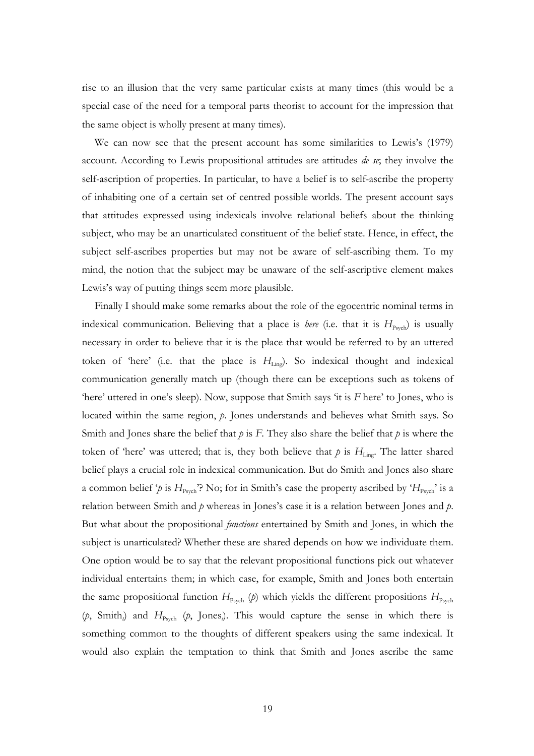rise to an illusion that the very same particular exists at many times (this would be a special case of the need for a temporal parts theorist to account for the impression that the same object is wholly present at many times).

We can now see that the present account has some similarities to Lewis's (1979) account. According to Lewis propositional attitudes are attitudes *de se*; they involve the self-ascription of properties. In particular, to have a belief is to self-ascribe the property of inhabiting one of a certain set of centred possible worlds. The present account says that attitudes expressed using indexicals involve relational beliefs about the thinking subject, who may be an unarticulated constituent of the belief state. Hence, in effect, the subject self-ascribes properties but may not be aware of self-ascribing them. To my mind, the notion that the subject may be unaware of the self-ascriptive element makes Lewis's way of putting things seem more plausible.

Finally I should make some remarks about the role of the egocentric nominal terms in indexical communication. Believing that a place is *here* (i.e. that it is  $H_{\text{Psych}}$ ) is usually necessary in order to believe that it is the place that would be referred to by an uttered token of 'here' (i.e. that the place is  $H_{\text{Lino}}$ ). So indexical thought and indexical communication generally match up (though there can be exceptions such as tokens of 'here' uttered in one's sleep). Now, suppose that Smith says 'it is *F* here' to Jones, who is located within the same region, *p*. Jones understands and believes what Smith says. So Smith and Jones share the belief that *p* is *F*. They also share the belief that *p* is where the token of 'here' was uttered; that is, they both believe that  $p$  is  $H_{\text{Line}}$ . The latter shared belief plays a crucial role in indexical communication. But do Smith and Jones also share a common belief '*p* is  $H_{\text{Psych}}$ '? No; for in Smith's case the property ascribed by ' $H_{\text{Psych}}$ ' is a relation between Smith and *p* whereas in Jones's case it is a relation between Jones and *p*. But what about the propositional *functions* entertained by Smith and Jones, in which the subject is unarticulated? Whether these are shared depends on how we individuate them. One option would be to say that the relevant propositional functions pick out whatever individual entertains them; in which case, for example, Smith and Jones both entertain the same propositional function  $H_{P<sub>8ych</sub>}$  (*p*) which yields the different propositions  $H_{P<sub>8ych</sub>}$  $(p, Smith)$  and  $H_{Psych}$   $(p, Jones)$ . This would capture the sense in which there is something common to the thoughts of different speakers using the same indexical. It would also explain the temptation to think that Smith and Jones ascribe the same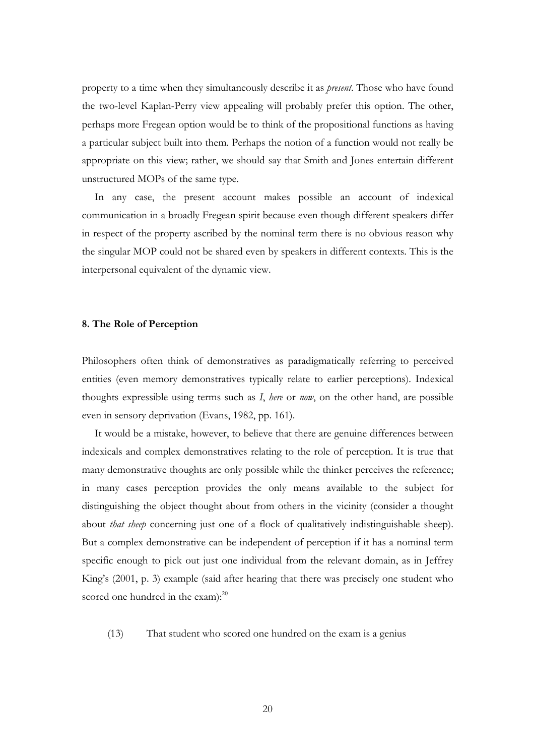property to a time when they simultaneously describe it as *present*. Those who have found the two-level Kaplan-Perry view appealing will probably prefer this option. The other, perhaps more Fregean option would be to think of the propositional functions as having a particular subject built into them. Perhaps the notion of a function would not really be appropriate on this view; rather, we should say that Smith and Jones entertain different unstructured MOPs of the same type.

In any case, the present account makes possible an account of indexical communication in a broadly Fregean spirit because even though different speakers differ in respect of the property ascribed by the nominal term there is no obvious reason why the singular MOP could not be shared even by speakers in different contexts. This is the interpersonal equivalent of the dynamic view.

#### **8. The Role of Perception**

Philosophers often think of demonstratives as paradigmatically referring to perceived entities (even memory demonstratives typically relate to earlier perceptions). Indexical thoughts expressible using terms such as *I*, *here* or *now*, on the other hand, are possible even in sensory deprivation (Evans, 1982, pp. 161).

It would be a mistake, however, to believe that there are genuine differences between indexicals and complex demonstratives relating to the role of perception. It is true that many demonstrative thoughts are only possible while the thinker perceives the reference; in many cases perception provides the only means available to the subject for distinguishing the object thought about from others in the vicinity (consider a thought about *that sheep* concerning just one of a flock of qualitatively indistinguishable sheep). But a complex demonstrative can be independent of perception if it has a nominal term specific enough to pick out just one individual from the relevant domain, as in Jeffrey King's (2001, p. 3) example (said after hearing that there was precisely one student who scored one hundred in the exam): $^{20}$ 

(13) That student who scored one hundred on the exam is a genius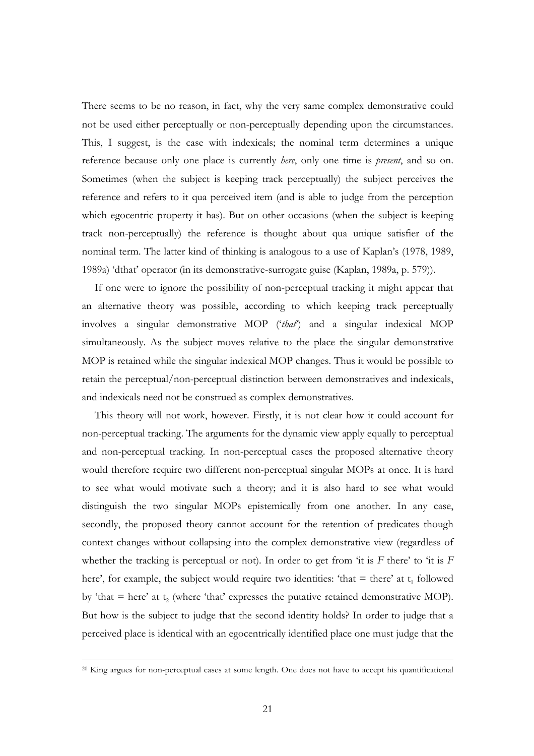There seems to be no reason, in fact, why the very same complex demonstrative could not be used either perceptually or non-perceptually depending upon the circumstances. This, I suggest, is the case with indexicals; the nominal term determines a unique reference because only one place is currently *here*, only one time is *present*, and so on. Sometimes (when the subject is keeping track perceptually) the subject perceives the reference and refers to it qua perceived item (and is able to judge from the perception which egocentric property it has). But on other occasions (when the subject is keeping track non-perceptually) the reference is thought about qua unique satisfier of the nominal term. The latter kind of thinking is analogous to a use of Kaplan's (1978, 1989, 1989a) 'dthat' operator (in its demonstrative-surrogate guise (Kaplan, 1989a, p. 579)).

If one were to ignore the possibility of non-perceptual tracking it might appear that an alternative theory was possible, according to which keeping track perceptually involves a singular demonstrative MOP ('*that*') and a singular indexical MOP simultaneously. As the subject moves relative to the place the singular demonstrative MOP is retained while the singular indexical MOP changes. Thus it would be possible to retain the perceptual/non-perceptual distinction between demonstratives and indexicals, and indexicals need not be construed as complex demonstratives.

This theory will not work, however. Firstly, it is not clear how it could account for non-perceptual tracking. The arguments for the dynamic view apply equally to perceptual and non-perceptual tracking. In non-perceptual cases the proposed alternative theory would therefore require two different non-perceptual singular MOPs at once. It is hard to see what would motivate such a theory; and it is also hard to see what would distinguish the two singular MOPs epistemically from one another. In any case, secondly, the proposed theory cannot account for the retention of predicates though context changes without collapsing into the complex demonstrative view (regardless of whether the tracking is perceptual or not). In order to get from 'it is *F* there' to 'it is *F* here', for example, the subject would require two identities: 'that  $=$  there' at  $t_1$  followed by 'that = here' at  $t_2$  (where 'that' expresses the putative retained demonstrative MOP). But how is the subject to judge that the second identity holds? In order to judge that a perceived place is identical with an egocentrically identified place one must judge that the

<sup>&</sup>lt;sup>20</sup> King argues for non-perceptual cases at some length. One does not have to accept his quantificational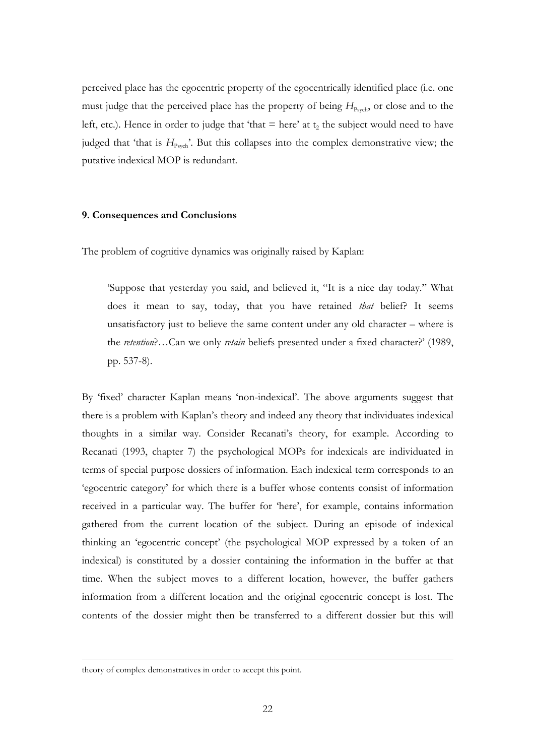perceived place has the egocentric property of the egocentrically identified place (i.e. one must judge that the perceived place has the property of being  $H_{\text{Psych}}$ , or close and to the left, etc.). Hence in order to judge that 'that  $=$  here' at  $t_2$  the subject would need to have judged that 'that is H<sub>Psych</sub>'. But this collapses into the complex demonstrative view; the putative indexical MOP is redundant.

#### **9. Consequences and Conclusions**

The problem of cognitive dynamics was originally raised by Kaplan:

'Suppose that yesterday you said, and believed it, "It is a nice day today." What does it mean to say, today, that you have retained *that* belief? It seems unsatisfactory just to believe the same content under any old character – where is the *retention*?…Can we only *retain* beliefs presented under a fixed character?' (1989, pp. 537-8).

By 'fixed' character Kaplan means 'non-indexical'. The above arguments suggest that there is a problem with Kaplan's theory and indeed any theory that individuates indexical thoughts in a similar way. Consider Recanati's theory, for example. According to Recanati (1993, chapter 7) the psychological MOPs for indexicals are individuated in terms of special purpose dossiers of information. Each indexical term corresponds to an 'egocentric category' for which there is a buffer whose contents consist of information received in a particular way. The buffer for 'here', for example, contains information gathered from the current location of the subject. During an episode of indexical thinking an 'egocentric concept' (the psychological MOP expressed by a token of an indexical) is constituted by a dossier containing the information in the buffer at that time. When the subject moves to a different location, however, the buffer gathers information from a different location and the original egocentric concept is lost. The contents of the dossier might then be transferred to a different dossier but this will

theory of complex demonstratives in order to accept this point.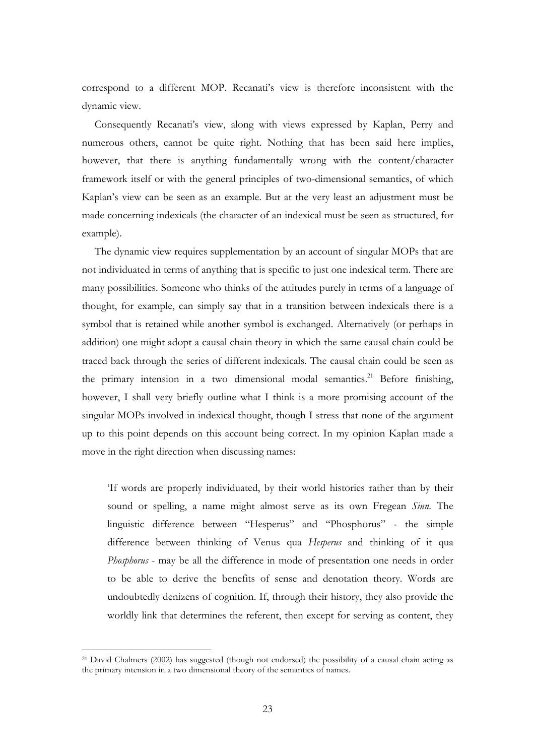correspond to a different MOP. Recanati's view is therefore inconsistent with the dynamic view.

Consequently Recanati's view, along with views expressed by Kaplan, Perry and numerous others, cannot be quite right. Nothing that has been said here implies, however, that there is anything fundamentally wrong with the content/character framework itself or with the general principles of two-dimensional semantics, of which Kaplan's view can be seen as an example. But at the very least an adjustment must be made concerning indexicals (the character of an indexical must be seen as structured, for example).

The dynamic view requires supplementation by an account of singular MOPs that are not individuated in terms of anything that is specific to just one indexical term. There are many possibilities. Someone who thinks of the attitudes purely in terms of a language of thought, for example, can simply say that in a transition between indexicals there is a symbol that is retained while another symbol is exchanged. Alternatively (or perhaps in addition) one might adopt a causal chain theory in which the same causal chain could be traced back through the series of different indexicals. The causal chain could be seen as the primary intension in a two dimensional modal semantics.<sup>21</sup> Before finishing, however, I shall very briefly outline what I think is a more promising account of the singular MOPs involved in indexical thought, though I stress that none of the argument up to this point depends on this account being correct. In my opinion Kaplan made a move in the right direction when discussing names:

'If words are properly individuated, by their world histories rather than by their sound or spelling, a name might almost serve as its own Fregean *Sinn*. The linguistic difference between "Hesperus" and "Phosphorus" - the simple difference between thinking of Venus qua *Hesperus* and thinking of it qua *Phosphorus* - may be all the difference in mode of presentation one needs in order to be able to derive the benefits of sense and denotation theory. Words are undoubtedly denizens of cognition. If, through their history, they also provide the worldly link that determines the referent, then except for serving as content, they

<sup>21</sup> David Chalmers (2002) has suggested (though not endorsed) the possibility of a causal chain acting as the primary intension in a two dimensional theory of the semantics of names.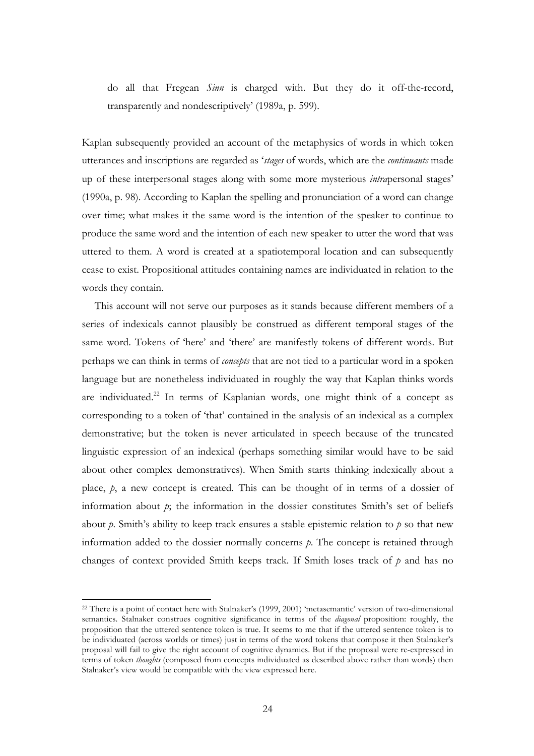do all that Fregean *Sinn* is charged with. But they do it off-the-record, transparently and nondescriptively' (1989a, p. 599).

Kaplan subsequently provided an account of the metaphysics of words in which token utterances and inscriptions are regarded as '*stages* of words, which are the *continuants* made up of these interpersonal stages along with some more mysterious *intra*personal stages' (1990a, p. 98). According to Kaplan the spelling and pronunciation of a word can change over time; what makes it the same word is the intention of the speaker to continue to produce the same word and the intention of each new speaker to utter the word that was uttered to them. A word is created at a spatiotemporal location and can subsequently cease to exist. Propositional attitudes containing names are individuated in relation to the words they contain.

This account will not serve our purposes as it stands because different members of a series of indexicals cannot plausibly be construed as different temporal stages of the same word. Tokens of 'here' and 'there' are manifestly tokens of different words. But perhaps we can think in terms of *concepts* that are not tied to a particular word in a spoken language but are nonetheless individuated in roughly the way that Kaplan thinks words are individuated.<sup>22</sup> In terms of Kaplanian words, one might think of a concept as corresponding to a token of 'that' contained in the analysis of an indexical as a complex demonstrative; but the token is never articulated in speech because of the truncated linguistic expression of an indexical (perhaps something similar would have to be said about other complex demonstratives). When Smith starts thinking indexically about a place, *p*, a new concept is created. This can be thought of in terms of a dossier of information about *p*; the information in the dossier constitutes Smith's set of beliefs about  $p$ . Smith's ability to keep track ensures a stable epistemic relation to  $p$  so that new information added to the dossier normally concerns *p*. The concept is retained through changes of context provided Smith keeps track. If Smith loses track of *p* and has no

<sup>22</sup> There is a point of contact here with Stalnaker's (1999, 2001) 'metasemantic' version of two-dimensional semantics. Stalnaker construes cognitive significance in terms of the *diagonal* proposition: roughly, the proposition that the uttered sentence token is true. It seems to me that if the uttered sentence token is to be individuated (across worlds or times) just in terms of the word tokens that compose it then Stalnaker's proposal will fail to give the right account of cognitive dynamics. But if the proposal were re-expressed in terms of token *thoughts* (composed from concepts individuated as described above rather than words) then Stalnaker's view would be compatible with the view expressed here.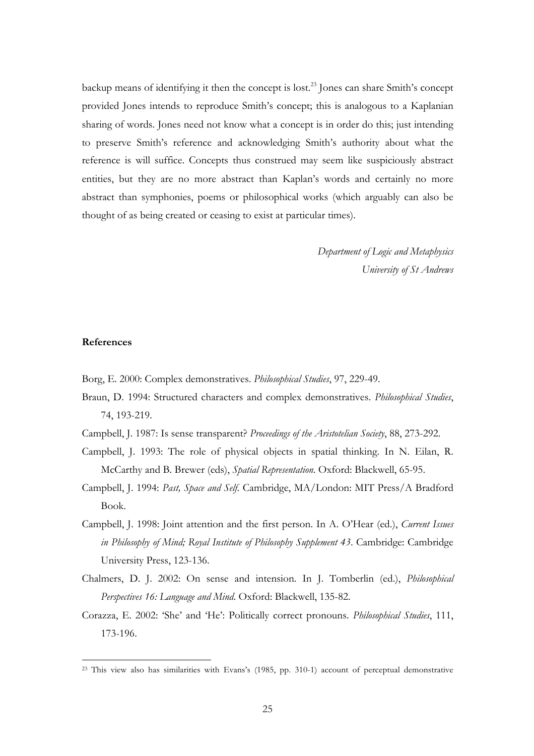backup means of identifying it then the concept is  $\text{lost.}^{23}$  Jones can share Smith's concept provided Jones intends to reproduce Smith's concept; this is analogous to a Kaplanian sharing of words. Jones need not know what a concept is in order do this; just intending to preserve Smith's reference and acknowledging Smith's authority about what the reference is will suffice. Concepts thus construed may seem like suspiciously abstract entities, but they are no more abstract than Kaplan's words and certainly no more abstract than symphonies, poems or philosophical works (which arguably can also be thought of as being created or ceasing to exist at particular times).

> *Department of Logic and Metaphysics University of St Andrews*

#### **References**

 $\overline{a}$ 

Borg, E. 2000: Complex demonstratives. *Philosophical Studies*, 97, 229-49.

- Braun, D. 1994: Structured characters and complex demonstratives. *Philosophical Studies*, 74, 193-219.
- Campbell, J. 1987: Is sense transparent? *Proceedings of the Aristotelian Society*, 88, 273-292.
- Campbell, J. 1993: The role of physical objects in spatial thinking. In N. Eilan, R. McCarthy and B. Brewer (eds), *Spatial Representation*. Oxford: Blackwell, 65-95.
- Campbell, J. 1994: *Past, Space and Self*. Cambridge, MA/London: MIT Press/A Bradford Book.
- Campbell, J. 1998: Joint attention and the first person. In A. O'Hear (ed.), *Current Issues in Philosophy of Mind; Royal Institute of Philosophy Supplement 43*. Cambridge: Cambridge University Press, 123-136.
- Chalmers, D. J. 2002: On sense and intension. In J. Tomberlin (ed.), *Philosophical Perspectives 16: Language and Mind*. Oxford: Blackwell, 135-82.
- Corazza, E. 2002: 'She' and 'He': Politically correct pronouns. *Philosophical Studies*, 111, 173-196.

<sup>23</sup> This view also has similarities with Evans's (1985, pp. 310-1) account of perceptual demonstrative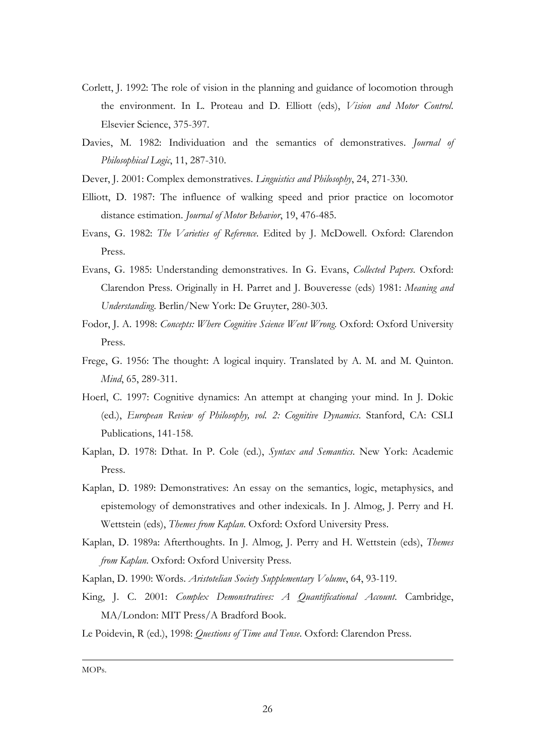- Corlett, J. 1992: The role of vision in the planning and guidance of locomotion through the environment. In L. Proteau and D. Elliott (eds), *Vision and Motor Control*. Elsevier Science, 375-397.
- Davies, M. 1982: Individuation and the semantics of demonstratives. *Journal of Philosophical Logic*, 11, 287-310.
- Dever, J. 2001: Complex demonstratives. *Linguistics and Philosophy*, 24, 271-330.
- Elliott, D. 1987: The influence of walking speed and prior practice on locomotor distance estimation. *Journal of Motor Behavior*, 19, 476-485.
- Evans, G. 1982: *The Varieties of Reference*. Edited by J. McDowell. Oxford: Clarendon Press.
- Evans, G. 1985: Understanding demonstratives. In G. Evans, *Collected Papers*. Oxford: Clarendon Press. Originally in H. Parret and J. Bouveresse (eds) 1981: *Meaning and Understanding*. Berlin/New York: De Gruyter, 280-303.
- Fodor, J. A. 1998: *Concepts: Where Cognitive Science Went Wrong*. Oxford: Oxford University Press.
- Frege, G. 1956: The thought: A logical inquiry. Translated by A. M. and M. Quinton. *Mind*, 65, 289-311.
- Hoerl, C. 1997: Cognitive dynamics: An attempt at changing your mind. In J. Dokic (ed.), *European Review of Philosophy, vol. 2: Cognitive Dynamics*. Stanford, CA: CSLI Publications, 141-158.
- Kaplan, D. 1978: Dthat. In P. Cole (ed.), *Syntax and Semantics*. New York: Academic Press.
- Kaplan, D. 1989: Demonstratives: An essay on the semantics, logic, metaphysics, and epistemology of demonstratives and other indexicals. In J. Almog, J. Perry and H. Wettstein (eds), *Themes from Kaplan*. Oxford: Oxford University Press.
- Kaplan, D. 1989a: Afterthoughts. In J. Almog, J. Perry and H. Wettstein (eds), *Themes from Kaplan*. Oxford: Oxford University Press.
- Kaplan, D. 1990: Words. *Aristotelian Society Supplementary Volume*, 64, 93-119.
- King, J. C. 2001: *Complex Demonstratives: A Quantificational Account*. Cambridge, MA/London: MIT Press/A Bradford Book.

Le Poidevin, R (ed.), 1998: *Questions of Time and Tense*. Oxford: Clarendon Press.

MOPs.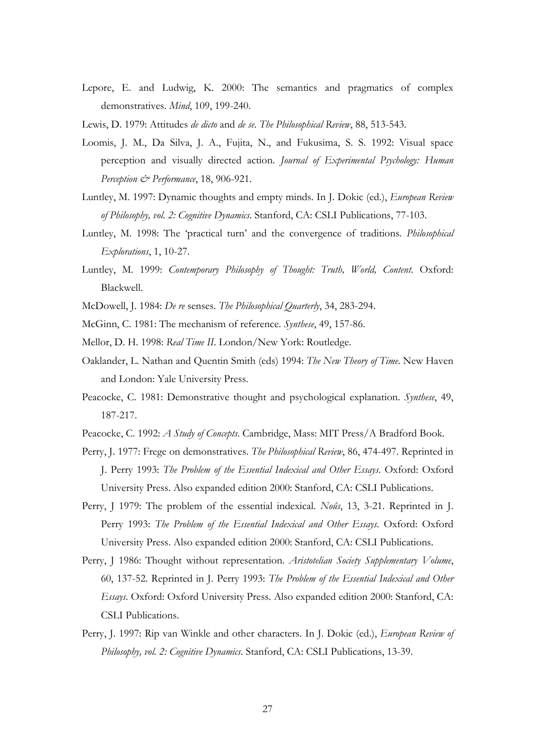- Lepore, E. and Ludwig, K. 2000: The semantics and pragmatics of complex demonstratives. *Mind*, 109, 199-240.
- Lewis, D. 1979: Attitudes *de dicto* and *de se*. *The Philosophical Review*, 88, 513-543.
- Loomis, J. M., Da Silva, J. A., Fujita, N., and Fukusima, S. S. 1992: Visual space perception and visually directed action. *Journal of Experimental Psychology: Human Perception & Performance*, 18, 906-921.
- Luntley, M. 1997: Dynamic thoughts and empty minds. In J. Dokic (ed.), *European Review of Philosophy, vol. 2: Cognitive Dynamics*. Stanford, CA: CSLI Publications, 77-103.
- Luntley, M. 1998: The 'practical turn' and the convergence of traditions. *Philosophical Explorations*, 1, 10-27.
- Luntley, M. 1999: *Contemporary Philosophy of Thought: Truth, World, Content*. Oxford: Blackwell.
- McDowell, J. 1984: *De re* senses. *The Philosophical Quarterly*, 34, 283-294.
- McGinn, C. 1981: The mechanism of reference. *Synthese*, 49, 157-86.
- Mellor, D. H. 1998: *Real Time II*. London/New York: Routledge.
- Oaklander, L. Nathan and Quentin Smith (eds) 1994: *The New Theory of Time*. New Haven and London: Yale University Press.
- Peacocke, C. 1981: Demonstrative thought and psychological explanation. *Synthese*, 49, 187-217.
- Peacocke, C. 1992: *A Study of Concepts*. Cambridge, Mass: MIT Press/A Bradford Book.
- Perry, J. 1977: Frege on demonstratives. *The Philosophical Review*, 86, 474-497. Reprinted in J. Perry 1993: *The Problem of the Essential Indexical and Other Essays*. Oxford: Oxford University Press. Also expanded edition 2000: Stanford, CA: CSLI Publications.
- Perry, J 1979: The problem of the essential indexical. *Noûs*, 13, 3-21. Reprinted in J. Perry 1993: *The Problem of the Essential Indexical and Other Essays*. Oxford: Oxford University Press. Also expanded edition 2000: Stanford, CA: CSLI Publications.
- Perry, J 1986: Thought without representation. Aristotelian Society Supplementary Volume, 60, 137-52. Reprinted in J. Perry 1993: *The Problem of the Essential Indexical and Other Essays*. Oxford: Oxford University Press. Also expanded edition 2000: Stanford, CA: CSLI Publications.
- Perry, J. 1997: Rip van Winkle and other characters. In J. Dokic (ed.), *European Review of Philosophy, vol. 2: Cognitive Dynamics*. Stanford, CA: CSLI Publications, 13-39.